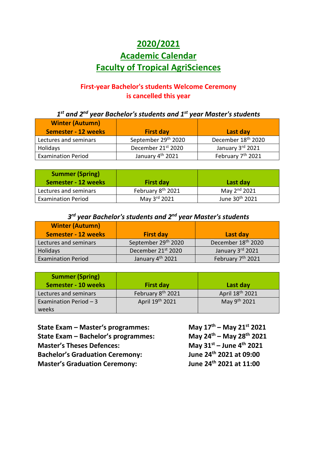## **2020/2021 Academic Calendar Faculty of Tropical AgriSciences**

## **First-year Bachelor's students Welcome Ceremony is cancelled this year**

*1 st and 2nd year Bachelor's students and 1st year Master's students*

| <b>Winter (Autumn)</b><br><b>Semester - 12 weeks</b> | <b>First day</b>                | Last day                       |
|------------------------------------------------------|---------------------------------|--------------------------------|
| Lectures and seminars                                | September 29 <sup>th</sup> 2020 | December 18 <sup>th</sup> 2020 |
| Holidays                                             | December 21st 2020              | January 3rd 2021               |
| <b>Examination Period</b>                            | January 4 <sup>th</sup> 2021    | February 7 <sup>th</sup> 2021  |

| <b>Summer (Spring)</b><br>Semester - 12 weeks | <b>First day</b>              | Last day                   |
|-----------------------------------------------|-------------------------------|----------------------------|
| Lectures and seminars                         | February 8 <sup>th</sup> 2021 | May $2nd$ 2021             |
| <b>Examination Period</b>                     | May 3rd 2021                  | June 30 <sup>th</sup> 2021 |

## *3 rd year Bachelor's students and 2nd year Master's students*

| <b>Winter (Autumn)</b>    |                              |                                |
|---------------------------|------------------------------|--------------------------------|
| Semester - 12 weeks       | <b>First day</b>             | Last day                       |
| Lectures and seminars     | September 29th 2020          | December 18 <sup>th</sup> 2020 |
| <b>Holidays</b>           | December 21st 2020           | January 3rd 2021               |
| <b>Examination Period</b> | January 4 <sup>th</sup> 2021 | February 7 <sup>th</sup> 2021  |

| <b>Summer (Spring)</b><br><b>Semester - 10 weeks</b> | <b>First day</b>              | Last day                 |
|------------------------------------------------------|-------------------------------|--------------------------|
| Lectures and seminars                                | February 8 <sup>th</sup> 2021 | April 18th 2021          |
| Examination Period $-3$                              | April 19th 2021               | May 9 <sup>th</sup> 2021 |
| weeks                                                |                               |                          |

| State Exam - Master's programmes:      | May $17^{th}$ – May $21^{st}$ 2021        |
|----------------------------------------|-------------------------------------------|
| State Exam - Bachelor's programmes:    | May $24^{th}$ – May $28^{th}$ 2021        |
| <b>Master's Theses Defences:</b>       | May $31^{st}$ – June 4 <sup>th</sup> 2021 |
| <b>Bachelor's Graduation Ceremony:</b> | June 24 <sup>th</sup> 2021 at 09:00       |
| <b>Master's Graduation Ceremony:</b>   | June 24 <sup>th</sup> 2021 at 11:00       |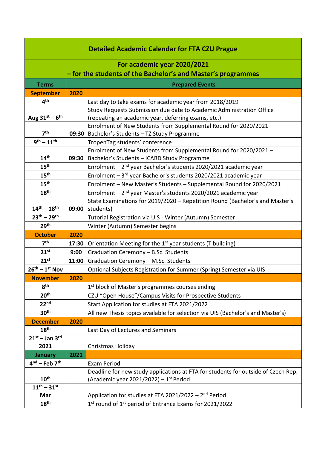| <b>Detailed Academic Calendar for FTA CZU Prague</b> |       |                                                                                   |
|------------------------------------------------------|-------|-----------------------------------------------------------------------------------|
| For academic year 2020/2021                          |       |                                                                                   |
|                                                      |       | - for the students of the Bachelor's and Master's programmes                      |
| <b>Terms</b>                                         |       | <b>Prepared Events</b>                                                            |
| <b>September</b>                                     | 2020  |                                                                                   |
| 4 <sup>th</sup>                                      |       | Last day to take exams for academic year from 2018/2019                           |
|                                                      |       | Study Requests Submission due date to Academic Administration Office              |
| Aug $31^{st}$ – $6^{th}$                             |       | (repeating an academic year, deferring exams, etc.)                               |
|                                                      |       | Enrolment of New Students from Supplemental Round for 2020/2021 -                 |
| 7 <sup>th</sup>                                      |       | 09:30   Bachelor's Students - TZ Study Programme                                  |
| $9^{th} - 11^{th}$                                   |       | TropenTag students' conference                                                    |
|                                                      |       | Enrolment of New Students from Supplemental Round for 2020/2021 -                 |
| 14 <sup>th</sup>                                     | 09:30 | Bachelor's Students - ICARD Study Programme                                       |
| 15 <sup>th</sup>                                     |       | Enrolment - 2 <sup>nd</sup> year Bachelor's students 2020/2021 academic year      |
| 15 <sup>th</sup>                                     |       | Enrolment - 3rd year Bachelor's students 2020/2021 academic year                  |
| 15 <sup>th</sup>                                     |       | Enrolment - New Master's Students - Supplemental Round for 2020/2021              |
| 18 <sup>th</sup>                                     |       | Enrolment - 2 <sup>nd</sup> year Master's students 2020/2021 academic year        |
|                                                      |       | State Examinations for 2019/2020 - Repetition Round (Bachelor's and Master's      |
| $14^{th} - 18^{th}$                                  | 09:00 | students)                                                                         |
| $23^{th} - 29^{th}$                                  |       | Tutorial Registration via UIS - Winter (Autumn) Semester                          |
| 29 <sup>th</sup>                                     |       | Winter (Autumn) Semester begins                                                   |
| <b>October</b>                                       | 2020  |                                                                                   |
| 7 <sup>th</sup>                                      | 17:30 | Orientation Meeting for the 1 <sup>st</sup> year students (T building)            |
| 21 <sup>st</sup>                                     | 9:00  | Graduation Ceremony - B.Sc. Students                                              |
| $21^{st}$                                            | 11:00 | Graduation Ceremony - M.Sc. Students                                              |
| $26^{th} - 1^{st}$ Nov                               |       | Optional Subjects Registration for Summer (Spring) Semester via UIS               |
| <b>November</b>                                      | 2020  |                                                                                   |
| 8 <sup>th</sup>                                      |       | 1 <sup>st</sup> block of Master's programmes courses ending                       |
| 20 <sup>th</sup>                                     |       | CZU "Open House"/Campus Visits for Prospective Students                           |
| 22 <sup>nd</sup>                                     |       | Start Application for studies at FTA 2021/2022                                    |
| 30 <sup>th</sup>                                     |       | All new Thesis topics available for selection via UIS (Bachelor's and Master's)   |
| <b>December</b>                                      | 2020  |                                                                                   |
| 18 <sup>th</sup>                                     |       | Last Day of Lectures and Seminars                                                 |
| $21^{st}$ – Jan 3rd                                  |       |                                                                                   |
| 2021                                                 |       | Christmas Holiday                                                                 |
| <b>January</b>                                       | 2021  |                                                                                   |
| $4nd$ – Feb $7th$                                    |       | <b>Exam Period</b>                                                                |
|                                                      |       | Deadline for new study applications at FTA for students for outside of Czech Rep. |
| 10 <sup>th</sup>                                     |       | (Academic year 2021/2022) - $1st$ Period                                          |
| $11^{th} - 31^{st}$                                  |       |                                                                                   |
| Mar                                                  |       | Application for studies at FTA 2021/2022 - 2 <sup>nd</sup> Period                 |
| 18 <sup>th</sup>                                     |       | 1st round of 1st period of Entrance Exams for 2021/2022                           |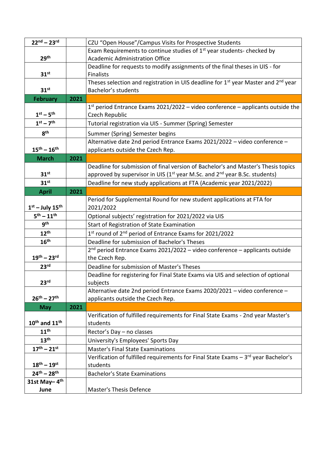| $22^{nd} - 23^{rd}$                   |      | CZU "Open House"/Campus Visits for Prospective Students                                                        |
|---------------------------------------|------|----------------------------------------------------------------------------------------------------------------|
|                                       |      | Exam Requirements to continue studies of 1 <sup>st</sup> year students- checked by                             |
| 29 <sup>th</sup>                      |      | <b>Academic Administration Office</b>                                                                          |
|                                       |      | Deadline for requests to modify assignments of the final theses in UIS - for                                   |
| 31 <sup>st</sup>                      |      | <b>Finalists</b>                                                                                               |
|                                       |      | Theses selection and registration in UIS deadline for 1 <sup>st</sup> year Master and 2 <sup>nd</sup> year     |
| 31 <sup>st</sup>                      |      | Bachelor's students                                                                                            |
| <b>February</b>                       | 2021 |                                                                                                                |
|                                       |      | $1st$ period Entrance Exams 2021/2022 – video conference – applicants outside the                              |
| $1st - 5th$                           |      | Czech Republic                                                                                                 |
| $1st - 7th$                           |      | Tutorial registration via UIS - Summer (Spring) Semester                                                       |
| 8 <sup>th</sup>                       |      | Summer (Spring) Semester begins                                                                                |
|                                       |      | Alternative date 2nd period Entrance Exams 2021/2022 - video conference -                                      |
| $15^{th} - 16^{th}$                   |      | applicants outside the Czech Rep.                                                                              |
| <b>March</b>                          | 2021 |                                                                                                                |
|                                       |      | Deadline for submission of final version of Bachelor's and Master's Thesis topics                              |
| 31 <sup>st</sup>                      |      | approved by supervisor in UIS ( $1st$ year M.Sc. and $2nd$ year B.Sc. students)                                |
| 31 <sup>st</sup>                      |      | Deadline for new study applications at FTA (Academic year 2021/2022)                                           |
| <b>April</b>                          | 2021 |                                                                                                                |
|                                       |      | Period for Supplemental Round for new student applications at FTA for                                          |
| $1st$ – July 15 <sup>th</sup>         |      | 2021/2022                                                                                                      |
| $5^{th} - 11^{th}$                    |      | Optional subjects' registration for 2021/2022 via UIS                                                          |
| 9 <sup>th</sup>                       |      | Start of Registration of State Examination                                                                     |
| $12^{\text{th}}$                      |      | $1st$ round of $2nd$ period of Entrance Exams for 2021/2022                                                    |
| 16 <sup>th</sup>                      |      | Deadline for submission of Bachelor's Theses                                                                   |
|                                       |      | 2 <sup>nd</sup> period Entrance Exams 2021/2022 - video conference - applicants outside                        |
| $19^{th} - 23^{rd}$                   |      | the Czech Rep.                                                                                                 |
| 23 <sup>rd</sup>                      |      | Deadline for submission of Master's Theses                                                                     |
|                                       |      | Deadline for registering for Final State Exams via UIS and selection of optional                               |
| 23 <sup>rd</sup>                      |      | subjects                                                                                                       |
| $26^{th} - 27^{th}$                   |      | Alternative date 2nd period Entrance Exams 2020/2021 - video conference -<br>applicants outside the Czech Rep. |
| <b>May</b>                            | 2021 |                                                                                                                |
|                                       |      | Verification of fulfilled requirements for Final State Exams - 2nd year Master's                               |
| $10^{\text{th}}$ and $11^{\text{th}}$ |      | students                                                                                                       |
| 11 <sup>th</sup>                      |      | Rector's Day - no classes                                                                                      |
| 13 <sup>th</sup>                      |      | University's Employees' Sports Day                                                                             |
| $17^{th} - 21^{st}$                   |      | <b>Master's Final State Examinations</b>                                                                       |
|                                       |      | Verification of fulfilled requirements for Final State Exams $-3$ <sup>rd</sup> year Bachelor's                |
| $18^{th} - 19^{st}$                   |      | students                                                                                                       |
| $24^{th} - 28^{th}$                   |      | <b>Bachelor's State Examinations</b>                                                                           |
| 31st May-4th                          |      |                                                                                                                |
| June                                  |      | Master's Thesis Defence                                                                                        |